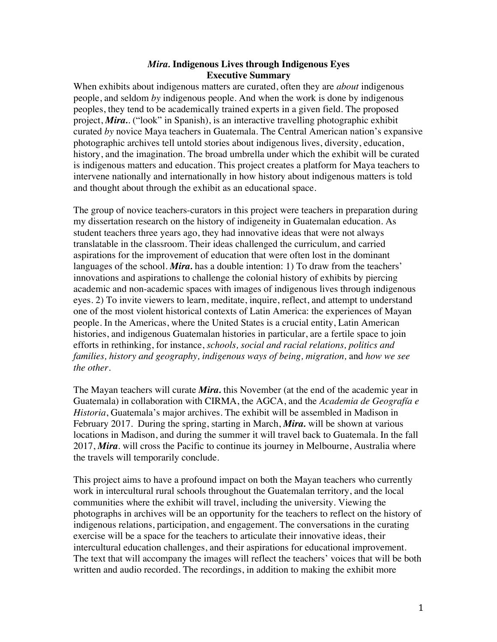## *Mira.* **Indigenous Lives through Indigenous Eyes Executive Summary**

When exhibits about indigenous matters are curated, often they are *about* indigenous people, and seldom *by* indigenous people. And when the work is done by indigenous peoples, they tend to be academically trained experts in a given field. The proposed project, *Mira.*. ("look" in Spanish), is an interactive travelling photographic exhibit curated *by* novice Maya teachers in Guatemala. The Central American nation's expansive photographic archives tell untold stories about indigenous lives, diversity, education, history, and the imagination. The broad umbrella under which the exhibit will be curated is indigenous matters and education. This project creates a platform for Maya teachers to intervene nationally and internationally in how history about indigenous matters is told and thought about through the exhibit as an educational space.

The group of novice teachers-curators in this project were teachers in preparation during my dissertation research on the history of indigeneity in Guatemalan education. As student teachers three years ago, they had innovative ideas that were not always translatable in the classroom. Their ideas challenged the curriculum, and carried aspirations for the improvement of education that were often lost in the dominant languages of the school. *Mira*. has a double intention: 1) To draw from the teachers' innovations and aspirations to challenge the colonial history of exhibits by piercing academic and non-academic spaces with images of indigenous lives through indigenous eyes. 2) To invite viewers to learn, meditate, inquire, reflect, and attempt to understand one of the most violent historical contexts of Latin America: the experiences of Mayan people. In the Americas, where the United States is a crucial entity, Latin American histories, and indigenous Guatemalan histories in particular, are a fertile space to join efforts in rethinking, for instance, *schools, social and racial relations, politics and families, history and geography, indigenous ways of being, migration,* and *how we see the other*.

The Mayan teachers will curate *Mira.* this November (at the end of the academic year in Guatemala) in collaboration with CIRMA, the AGCA, and the *Academia de Geografía e Historia*, Guatemala's major archives. The exhibit will be assembled in Madison in February 2017. During the spring, starting in March, *Mira.* will be shown at various locations in Madison, and during the summer it will travel back to Guatemala. In the fall 2017, *Mira*. will cross the Pacific to continue its journey in Melbourne, Australia where the travels will temporarily conclude.

This project aims to have a profound impact on both the Mayan teachers who currently work in intercultural rural schools throughout the Guatemalan territory, and the local communities where the exhibit will travel, including the university. Viewing the photographs in archives will be an opportunity for the teachers to reflect on the history of indigenous relations, participation, and engagement. The conversations in the curating exercise will be a space for the teachers to articulate their innovative ideas, their intercultural education challenges, and their aspirations for educational improvement. The text that will accompany the images will reflect the teachers' voices that will be both written and audio recorded. The recordings, in addition to making the exhibit more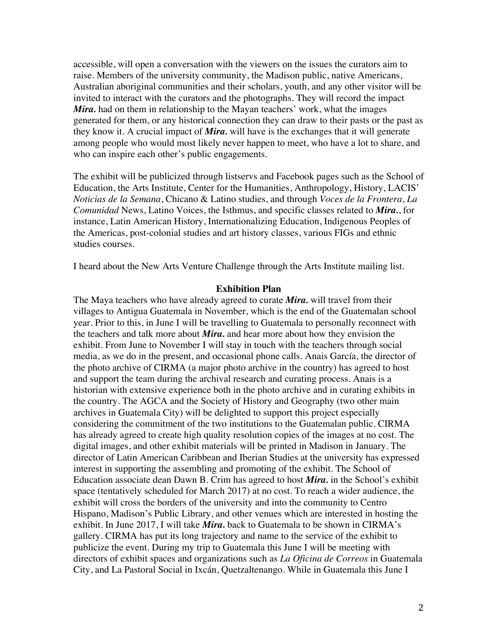accessible, will open a conversation with the viewers on the issues the curators aim to raise. Members of the university community, the Madison public, native Americans, Australian aboriginal communities and their scholars, youth, and any other visitor will be invited to interact with the curators and the photographs. They will record the impact *Mira*, had on them in relationship to the Mayan teachers' work, what the images generated for them, or any historical connection they can draw to their pasts or the past as they know it. A crucial impact of *Mira.* will have is the exchanges that it will generate among people who would most likely never happen to meet, who have a lot to share, and who can inspire each other's public engagements.

The exhibit will be publicized through listservs and Facebook pages such as the School of Education, the Arts Institute, Center for the Humanities, Anthropology, History, LACIS' *Noticias de la Semana*, Chicano & Latino studies, and through *Voces de la Frontera*, *La Comunidad* News, Latino Voices, the Isthmus, and specific classes related to *Mira.*, for instance, Latin American History, Internationalizing Education, Indigenous Peoples of the Americas, post-colonial studies and art history classes, various FIGs and ethnic studies courses.

I heard about the New Arts Venture Challenge through the Arts Institute mailing list.

#### **Exhibition Plan**

The Maya teachers who have already agreed to curate *Mira.* will travel from their villages to Antigua Guatemala in November, which is the end of the Guatemalan school year. Prior to this, in June I will be travelling to Guatemala to personally reconnect with the teachers and talk more about *Mira.* and hear more about how they envision the exhibit. From June to November I will stay in touch with the teachers through social media, as we do in the present, and occasional phone calls. Anais García, the director of the photo archive of CIRMA (a major photo archive in the country) has agreed to host and support the team during the archival research and curating process. Anais is a historian with extensive experience both in the photo archive and in curating exhibits in the country. The AGCA and the Society of History and Geography (two other main archives in Guatemala City) will be delighted to support this project especially considering the commitment of the two institutions to the Guatemalan public. CIRMA has already agreed to create high quality resolution copies of the images at no cost. The digital images, and other exhibit materials will be printed in Madison in January. The director of Latin American Caribbean and Iberian Studies at the university has expressed interest in supporting the assembling and promoting of the exhibit. The School of Education associate dean Dawn B. Crim has agreed to host *Mira.* in the School's exhibit space (tentatively scheduled for March 2017) at no cost. To reach a wider audience, the exhibit will cross the borders of the university and into the community to Centro Hispano, Madison's Public Library, and other venues which are interested in hosting the exhibit. In June 2017, I will take *Mira.* back to Guatemala to be shown in CIRMA's gallery. CIRMA has put its long trajectory and name to the service of the exhibit to publicize the event. During my trip to Guatemala this June I will be meeting with directors of exhibit spaces and organizations such as *La Oficina de Correos* in Guatemala City, and La Pastoral Social in Ixcán, Quetzaltenango. While in Guatemala this June I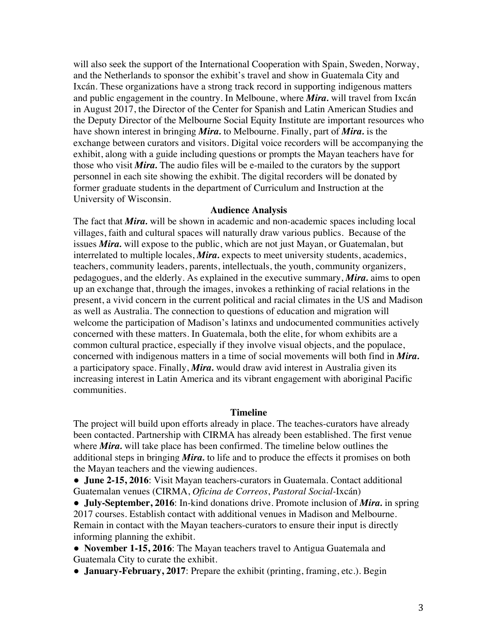will also seek the support of the International Cooperation with Spain, Sweden, Norway, and the Netherlands to sponsor the exhibit's travel and show in Guatemala City and Ixcán. These organizations have a strong track record in supporting indigenous matters and public engagement in the country. In Melboune, where *Mira.* will travel from Ixcán in August 2017, the Director of the Center for Spanish and Latin American Studies and the Deputy Director of the Melbourne Social Equity Institute are important resources who have shown interest in bringing *Mira.* to Melbourne. Finally, part of *Mira.* is the exchange between curators and visitors. Digital voice recorders will be accompanying the exhibit, along with a guide including questions or prompts the Mayan teachers have for those who visit *Mira.* The audio files will be e-mailed to the curators by the support personnel in each site showing the exhibit. The digital recorders will be donated by former graduate students in the department of Curriculum and Instruction at the University of Wisconsin.

## **Audience Analysis**

The fact that *Mira.* will be shown in academic and non-academic spaces including local villages, faith and cultural spaces will naturally draw various publics. Because of the issues *Mira.* will expose to the public, which are not just Mayan, or Guatemalan, but interrelated to multiple locales, *Mira.* expects to meet university students, academics, teachers, community leaders, parents, intellectuals, the youth, community organizers, pedagogues, and the elderly. As explained in the executive summary, *Mira.* aims to open up an exchange that, through the images, invokes a rethinking of racial relations in the present, a vivid concern in the current political and racial climates in the US and Madison as well as Australia. The connection to questions of education and migration will welcome the participation of Madison's latinxs and undocumented communities actively concerned with these matters. In Guatemala, both the elite, for whom exhibits are a common cultural practice, especially if they involve visual objects, and the populace, concerned with indigenous matters in a time of social movements will both find in *Mira.* a participatory space. Finally, *Mira.* would draw avid interest in Australia given its increasing interest in Latin America and its vibrant engagement with aboriginal Pacific communities.

### **Timeline**

The project will build upon efforts already in place. The teaches-curators have already been contacted. Partnership with CIRMA has already been established. The first venue where *Mira*. will take place has been confirmed. The timeline below outlines the additional steps in bringing *Mira.* to life and to produce the effects it promises on both the Mayan teachers and the viewing audiences.

● **June 2-15, 2016**: Visit Mayan teachers-curators in Guatemala. Contact additional Guatemalan venues (CIRMA, *Oficina de Correos*, *Pastoral Social-*Ixcán)

● **July-September, 2016**: In-kind donations drive. Promote inclusion of *Mira.* in spring 2017 courses. Establish contact with additional venues in Madison and Melbourne. Remain in contact with the Mayan teachers-curators to ensure their input is directly informing planning the exhibit.

● **November 1-15, 2016**: The Mayan teachers travel to Antigua Guatemala and Guatemala City to curate the exhibit.

● **January-February, 2017**: Prepare the exhibit (printing, framing, etc.). Begin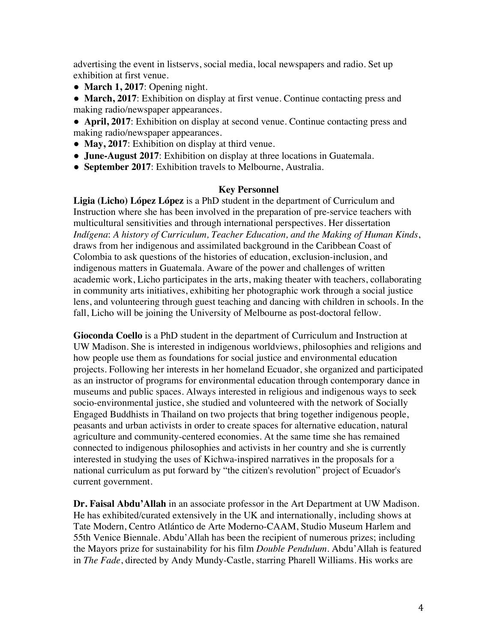advertising the event in listservs, social media, local newspapers and radio. Set up exhibition at first venue.

- **March 1, 2017**: Opening night.
- **March, 2017**: Exhibition on display at first venue. Continue contacting press and making radio/newspaper appearances.
- **April, 2017**: Exhibition on display at second venue. Continue contacting press and making radio/newspaper appearances.
- May, 2017: Exhibition on display at third venue.
- **June-August 2017**: Exhibition on display at three locations in Guatemala.
- **September 2017**: Exhibition travels to Melbourne, Australia.

### **Key Personnel**

**Ligia (Licho) López López** is a PhD student in the department of Curriculum and Instruction where she has been involved in the preparation of pre-service teachers with multicultural sensitivities and through international perspectives. Her dissertation *Indígena*: *A history of Curriculum, Teacher Education, and the Making of Human Kinds*, draws from her indigenous and assimilated background in the Caribbean Coast of Colombia to ask questions of the histories of education, exclusion-inclusion, and indigenous matters in Guatemala. Aware of the power and challenges of written academic work, Licho participates in the arts, making theater with teachers, collaborating in community arts initiatives, exhibiting her photographic work through a social justice lens, and volunteering through guest teaching and dancing with children in schools. In the fall, Licho will be joining the University of Melbourne as post-doctoral fellow.

**Gioconda Coello** is a PhD student in the department of Curriculum and Instruction at UW Madison. She is interested in indigenous worldviews, philosophies and religions and how people use them as foundations for social justice and environmental education projects. Following her interests in her homeland Ecuador, she organized and participated as an instructor of programs for environmental education through contemporary dance in museums and public spaces. Always interested in religious and indigenous ways to seek socio-environmental justice, she studied and volunteered with the network of Socially Engaged Buddhists in Thailand on two projects that bring together indigenous people, peasants and urban activists in order to create spaces for alternative education, natural agriculture and community-centered economies. At the same time she has remained connected to indigenous philosophies and activists in her country and she is currently interested in studying the uses of Kichwa-inspired narratives in the proposals for a national curriculum as put forward by "the citizen's revolution" project of Ecuador's current government.

**Dr. Faisal Abdu'Allah** in an associate professor in the Art Department at UW Madison. He has exhibited/curated extensively in the UK and internationally, including shows at Tate Modern, Centro Atlántico de Arte Moderno-CAAM, Studio Museum Harlem and 55th Venice Biennale. Abdu'Allah has been the recipient of numerous prizes; including the Mayors prize for sustainability for his film *Double Pendulum.* Abdu'Allah is featured in *The Fade*, directed by Andy Mundy-Castle, starring Pharell Williams. His works are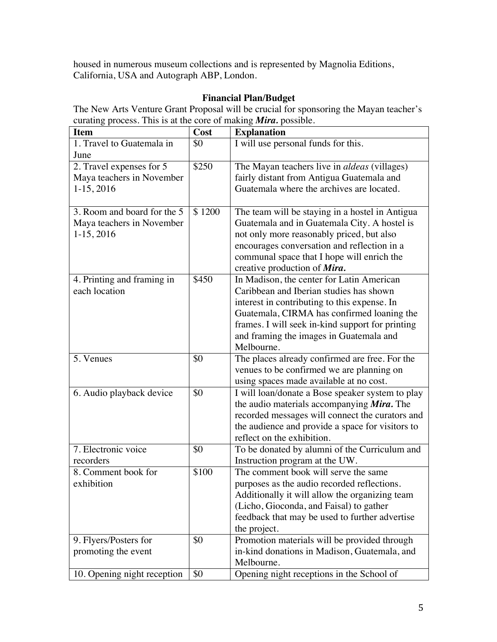housed in numerous museum collections and is represented by Magnolia Editions, California, USA and Autograph ABP, London.

# **Financial Plan/Budget**

The New Arts Venture Grant Proposal will be crucial for sponsoring the Mayan teacher's curating process. This is at the core of making *Mira.* possible.

| <b>Item</b>                 | Cost   | <b>Explanation</b>                                  |
|-----------------------------|--------|-----------------------------------------------------|
| 1. Travel to Guatemala in   | \$0    | I will use personal funds for this.                 |
| June                        |        |                                                     |
| 2. Travel expenses for 5    | \$250  | The Mayan teachers live in <i>aldeas</i> (villages) |
| Maya teachers in November   |        | fairly distant from Antigua Guatemala and           |
| $1-15, 2016$                |        | Guatemala where the archives are located.           |
|                             |        |                                                     |
| 3. Room and board for the 5 | \$1200 | The team will be staying in a hostel in Antigua     |
| Maya teachers in November   |        | Guatemala and in Guatemala City. A hostel is        |
| $1-15, 2016$                |        | not only more reasonably priced, but also           |
|                             |        | encourages conversation and reflection in a         |
|                             |        | communal space that I hope will enrich the          |
|                             |        | creative production of Mira.                        |
| 4. Printing and framing in  | \$450  | In Madison, the center for Latin American           |
| each location               |        | Caribbean and Iberian studies has shown             |
|                             |        | interest in contributing to this expense. In        |
|                             |        | Guatemala, CIRMA has confirmed loaning the          |
|                             |        | frames. I will seek in-kind support for printing    |
|                             |        | and framing the images in Guatemala and             |
|                             |        | Melbourne.                                          |
| 5. Venues                   | \$0    | The places already confirmed are free. For the      |
|                             |        | venues to be confirmed we are planning on           |
|                             |        | using spaces made available at no cost.             |
| 6. Audio playback device    | \$0    | I will loan/donate a Bose speaker system to play    |
|                             |        | the audio materials accompanying Mira. The          |
|                             |        | recorded messages will connect the curators and     |
|                             |        | the audience and provide a space for visitors to    |
|                             |        | reflect on the exhibition.                          |
| 7. Electronic voice         | \$0    | To be donated by alumni of the Curriculum and       |
| recorders                   |        | Instruction program at the UW.                      |
| 8. Comment book for         | \$100  | The comment book will serve the same                |
| exhibition                  |        | purposes as the audio recorded reflections.         |
|                             |        | Additionally it will allow the organizing team      |
|                             |        | (Licho, Gioconda, and Faisal) to gather             |
|                             |        | feedback that may be used to further advertise      |
|                             |        | the project.                                        |
| 9. Flyers/Posters for       | \$0    | Promotion materials will be provided through        |
| promoting the event         |        | in-kind donations in Madison, Guatemala, and        |
|                             |        | Melbourne.                                          |
| 10. Opening night reception | \$0    | Opening night receptions in the School of           |